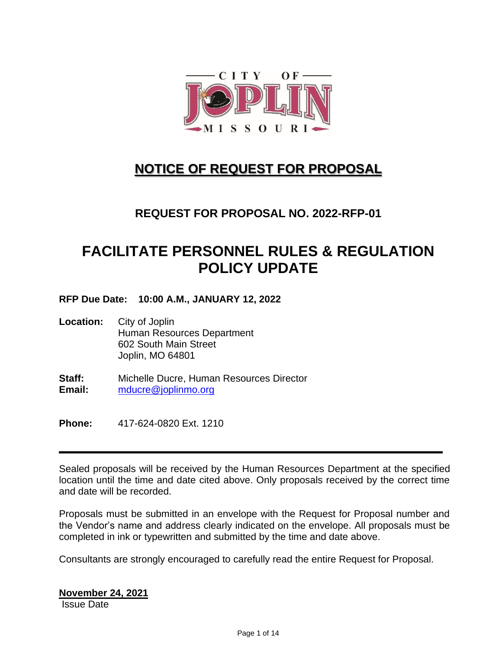

# **NOTICE OF REQUEST FOR PROPOSAL**

# **REQUEST FOR PROPOSAL NO. 2022-RFP-01**

# **FACILITATE PERSONNEL RULES & REGULATION POLICY UPDATE**

**RFP Due Date: 10:00 A.M., JANUARY 12, 2022**

- **Location:** City of Joplin Human Resources Department 602 South Main Street Joplin, MO 64801
- **Staff:** Michelle Ducre, Human Resources Director **Email:** [mducre@joplinmo.org](mailto:mducre@joplinmo.org)

**Phone:** 417-624-0820 Ext. 1210

Sealed proposals will be received by the Human Resources Department at the specified location until the time and date cited above. Only proposals received by the correct time and date will be recorded.

Proposals must be submitted in an envelope with the Request for Proposal number and the Vendor's name and address clearly indicated on the envelope. All proposals must be completed in ink or typewritten and submitted by the time and date above.

Consultants are strongly encouraged to carefully read the entire Request for Proposal.

**November 24, 2021** Issue Date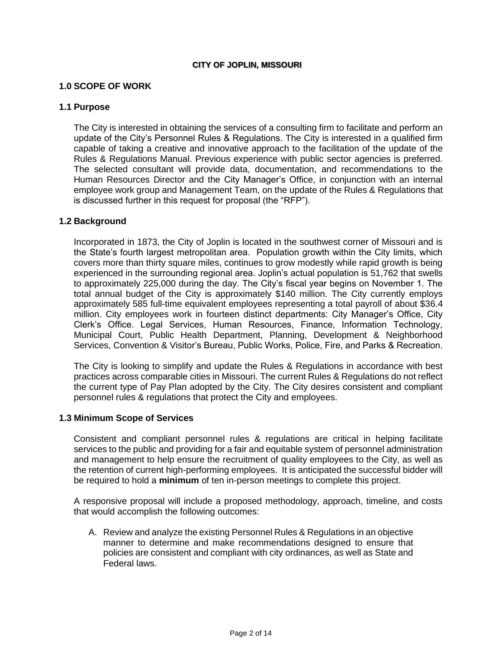#### **CITY OF JOPLIN, MISSOURI**

#### **1.0 SCOPE OF WORK**

#### **1.1 Purpose**

The City is interested in obtaining the services of a consulting firm to facilitate and perform an update of the City's Personnel Rules & Regulations. The City is interested in a qualified firm capable of taking a creative and innovative approach to the facilitation of the update of the Rules & Regulations Manual. Previous experience with public sector agencies is preferred. The selected consultant will provide data, documentation, and recommendations to the Human Resources Director and the City Manager's Office, in conjunction with an internal employee work group and Management Team, on the update of the Rules & Regulations that is discussed further in this request for proposal (the "RFP").

#### **1.2 Background**

Incorporated in 1873, the City of Joplin is located in the southwest corner of Missouri and is the State's fourth largest metropolitan area. Population growth within the City limits, which covers more than thirty square miles, continues to grow modestly while rapid growth is being experienced in the surrounding regional area. Joplin's actual population is 51,762 that swells to approximately 225,000 during the day. The City's fiscal year begins on November 1. The total annual budget of the City is approximately \$140 million. The City currently employs approximately 585 full-time equivalent employees representing a total payroll of about \$36.4 million. City employees work in fourteen distinct departments: City Manager's Office, City Clerk's Office. Legal Services, Human Resources, Finance, Information Technology, Municipal Court, Public Health Department, Planning, Development & Neighborhood Services, Convention & Visitor's Bureau, Public Works, Police, Fire, and Parks & Recreation.

The City is looking to simplify and update the Rules & Regulations in accordance with best practices across comparable cities in Missouri. The current Rules & Regulations do not reflect the current type of Pay Plan adopted by the City. The City desires consistent and compliant personnel rules & regulations that protect the City and employees.

#### **1.3 Minimum Scope of Services**

Consistent and compliant personnel rules & regulations are critical in helping facilitate services to the public and providing for a fair and equitable system of personnel administration and management to help ensure the recruitment of quality employees to the City, as well as the retention of current high-performing employees. It is anticipated the successful bidder will be required to hold a **minimum** of ten in-person meetings to complete this project.

A responsive proposal will include a proposed methodology, approach, timeline, and costs that would accomplish the following outcomes:

A. Review and analyze the existing Personnel Rules & Regulations in an objective manner to determine and make recommendations designed to ensure that policies are consistent and compliant with city ordinances, as well as State and Federal laws.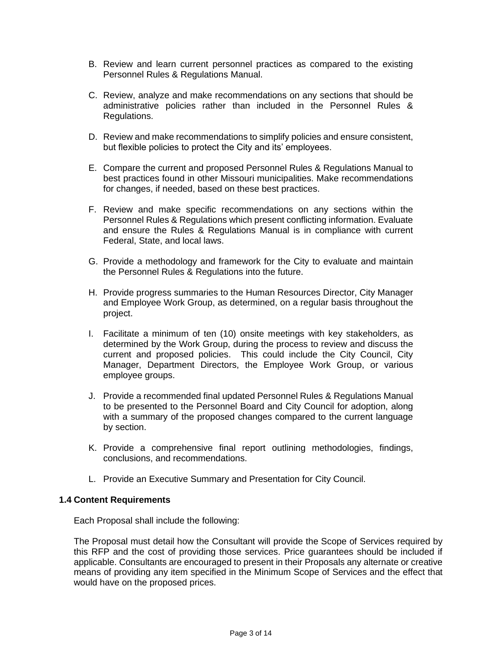- B. Review and learn current personnel practices as compared to the existing Personnel Rules & Regulations Manual.
- C. Review, analyze and make recommendations on any sections that should be administrative policies rather than included in the Personnel Rules & Regulations.
- D. Review and make recommendations to simplify policies and ensure consistent, but flexible policies to protect the City and its' employees.
- E. Compare the current and proposed Personnel Rules & Regulations Manual to best practices found in other Missouri municipalities. Make recommendations for changes, if needed, based on these best practices.
- F. Review and make specific recommendations on any sections within the Personnel Rules & Regulations which present conflicting information. Evaluate and ensure the Rules & Regulations Manual is in compliance with current Federal, State, and local laws.
- G. Provide a methodology and framework for the City to evaluate and maintain the Personnel Rules & Regulations into the future.
- H. Provide progress summaries to the Human Resources Director, City Manager and Employee Work Group, as determined, on a regular basis throughout the project.
- I. Facilitate a minimum of ten (10) onsite meetings with key stakeholders, as determined by the Work Group, during the process to review and discuss the current and proposed policies. This could include the City Council, City Manager, Department Directors, the Employee Work Group, or various employee groups.
- J. Provide a recommended final updated Personnel Rules & Regulations Manual to be presented to the Personnel Board and City Council for adoption, along with a summary of the proposed changes compared to the current language by section.
- K. Provide a comprehensive final report outlining methodologies, findings, conclusions, and recommendations.
- L. Provide an Executive Summary and Presentation for City Council.

#### **1.4 Content Requirements**

Each Proposal shall include the following:

The Proposal must detail how the Consultant will provide the Scope of Services required by this RFP and the cost of providing those services. Price guarantees should be included if applicable. Consultants are encouraged to present in their Proposals any alternate or creative means of providing any item specified in the Minimum Scope of Services and the effect that would have on the proposed prices.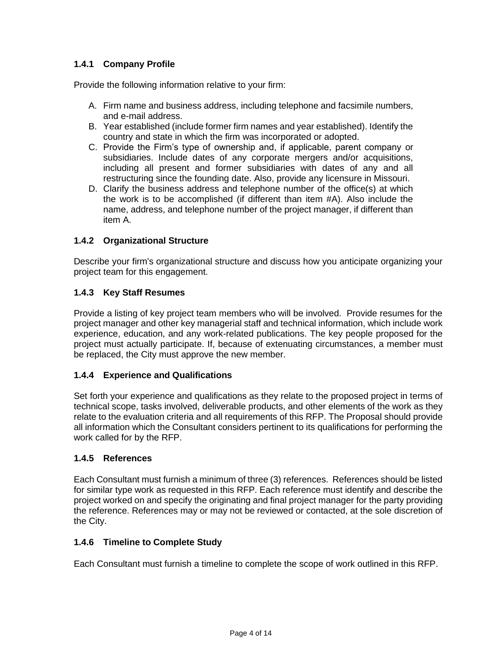# **1.4.1 Company Profile**

Provide the following information relative to your firm:

- A. Firm name and business address, including telephone and facsimile numbers, and e-mail address.
- B. Year established (include former firm names and year established). Identify the country and state in which the firm was incorporated or adopted.
- C. Provide the Firm's type of ownership and, if applicable, parent company or subsidiaries. Include dates of any corporate mergers and/or acquisitions, including all present and former subsidiaries with dates of any and all restructuring since the founding date. Also, provide any licensure in Missouri.
- D. Clarify the business address and telephone number of the office(s) at which the work is to be accomplished (if different than item #A). Also include the name, address, and telephone number of the project manager, if different than item A.

# **1.4.2 Organizational Structure**

Describe your firm's organizational structure and discuss how you anticipate organizing your project team for this engagement.

# **1.4.3 Key Staff Resumes**

Provide a listing of key project team members who will be involved. Provide resumes for the project manager and other key managerial staff and technical information, which include work experience, education, and any work-related publications. The key people proposed for the project must actually participate. If, because of extenuating circumstances, a member must be replaced, the City must approve the new member.

# **1.4.4 Experience and Qualifications**

Set forth your experience and qualifications as they relate to the proposed project in terms of technical scope, tasks involved, deliverable products, and other elements of the work as they relate to the evaluation criteria and all requirements of this RFP. The Proposal should provide all information which the Consultant considers pertinent to its qualifications for performing the work called for by the RFP.

# **1.4.5 References**

Each Consultant must furnish a minimum of three (3) references. References should be listed for similar type work as requested in this RFP. Each reference must identify and describe the project worked on and specify the originating and final project manager for the party providing the reference. References may or may not be reviewed or contacted, at the sole discretion of the City.

# **1.4.6 Timeline to Complete Study**

Each Consultant must furnish a timeline to complete the scope of work outlined in this RFP.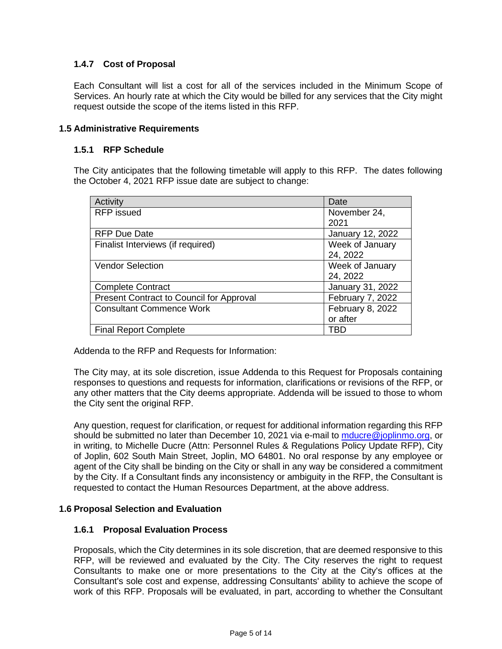# **1.4.7 Cost of Proposal**

Each Consultant will list a cost for all of the services included in the Minimum Scope of Services. An hourly rate at which the City would be billed for any services that the City might request outside the scope of the items listed in this RFP.

### **1.5 Administrative Requirements**

#### **1.5.1 RFP Schedule**

The City anticipates that the following timetable will apply to this RFP. The dates following the October 4, 2021 RFP issue date are subject to change:

| Activity                                 | Date             |
|------------------------------------------|------------------|
| <b>RFP</b> issued                        | November 24,     |
|                                          | 2021             |
| <b>RFP Due Date</b>                      | January 12, 2022 |
| Finalist Interviews (if required)        | Week of January  |
|                                          | 24, 2022         |
| <b>Vendor Selection</b>                  | Week of January  |
|                                          | 24, 2022         |
| <b>Complete Contract</b>                 | January 31, 2022 |
| Present Contract to Council for Approval | February 7, 2022 |
| <b>Consultant Commence Work</b>          | February 8, 2022 |
|                                          | or after         |
| <b>Final Report Complete</b>             | TBD              |

Addenda to the RFP and Requests for Information:

The City may, at its sole discretion, issue Addenda to this Request for Proposals containing responses to questions and requests for information, clarifications or revisions of the RFP, or any other matters that the City deems appropriate. Addenda will be issued to those to whom the City sent the original RFP.

Any question, request for clarification, or request for additional information regarding this RFP should be submitted no later than December 10, 2021 via e-mail to [mducre@joplinmo.org,](mailto:mducre@joplinmo.org) or in writing, to Michelle Ducre (Attn: Personnel Rules & Regulations Policy Update RFP), City of Joplin, 602 South Main Street, Joplin, MO 64801. No oral response by any employee or agent of the City shall be binding on the City or shall in any way be considered a commitment by the City. If a Consultant finds any inconsistency or ambiguity in the RFP, the Consultant is requested to contact the Human Resources Department, at the above address.

# **1.6 Proposal Selection and Evaluation**

#### **1.6.1 Proposal Evaluation Process**

Proposals, which the City determines in its sole discretion, that are deemed responsive to this RFP, will be reviewed and evaluated by the City. The City reserves the right to request Consultants to make one or more presentations to the City at the City's offices at the Consultant's sole cost and expense, addressing Consultants' ability to achieve the scope of work of this RFP. Proposals will be evaluated, in part, according to whether the Consultant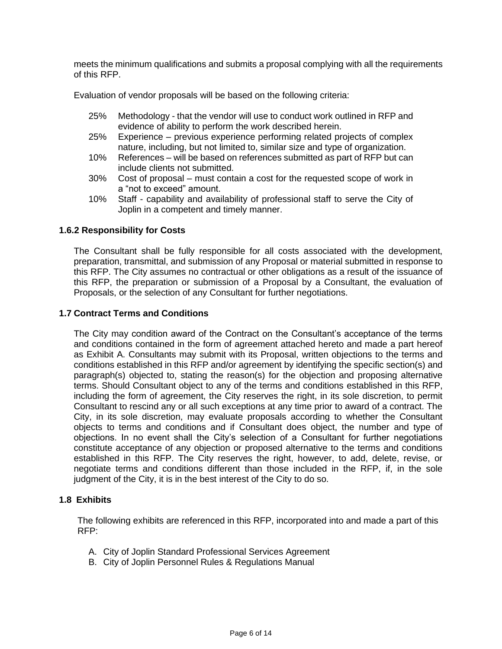meets the minimum qualifications and submits a proposal complying with all the requirements of this RFP.

Evaluation of vendor proposals will be based on the following criteria:

- 25% Methodology that the vendor will use to conduct work outlined in RFP and evidence of ability to perform the work described herein.
- 25% Experience previous experience performing related projects of complex nature, including, but not limited to, similar size and type of organization.
- 10% References will be based on references submitted as part of RFP but can include clients not submitted.
- 30% Cost of proposal must contain a cost for the requested scope of work in a "not to exceed" amount.
- 10% Staff capability and availability of professional staff to serve the City of Joplin in a competent and timely manner.

### **1.6.2 Responsibility for Costs**

The Consultant shall be fully responsible for all costs associated with the development, preparation, transmittal, and submission of any Proposal or material submitted in response to this RFP. The City assumes no contractual or other obligations as a result of the issuance of this RFP, the preparation or submission of a Proposal by a Consultant, the evaluation of Proposals, or the selection of any Consultant for further negotiations.

#### **1.7 Contract Terms and Conditions**

The City may condition award of the Contract on the Consultant's acceptance of the terms and conditions contained in the form of agreement attached hereto and made a part hereof as Exhibit A. Consultants may submit with its Proposal, written objections to the terms and conditions established in this RFP and/or agreement by identifying the specific section(s) and paragraph(s) objected to, stating the reason(s) for the objection and proposing alternative terms. Should Consultant object to any of the terms and conditions established in this RFP, including the form of agreement, the City reserves the right, in its sole discretion, to permit Consultant to rescind any or all such exceptions at any time prior to award of a contract. The City, in its sole discretion, may evaluate proposals according to whether the Consultant objects to terms and conditions and if Consultant does object, the number and type of objections. In no event shall the City's selection of a Consultant for further negotiations constitute acceptance of any objection or proposed alternative to the terms and conditions established in this RFP. The City reserves the right, however, to add, delete, revise, or negotiate terms and conditions different than those included in the RFP, if, in the sole judgment of the City, it is in the best interest of the City to do so.

#### **1.8 Exhibits**

The following exhibits are referenced in this RFP, incorporated into and made a part of this RFP:

- A. City of Joplin Standard Professional Services Agreement
- B. City of Joplin Personnel Rules & Regulations Manual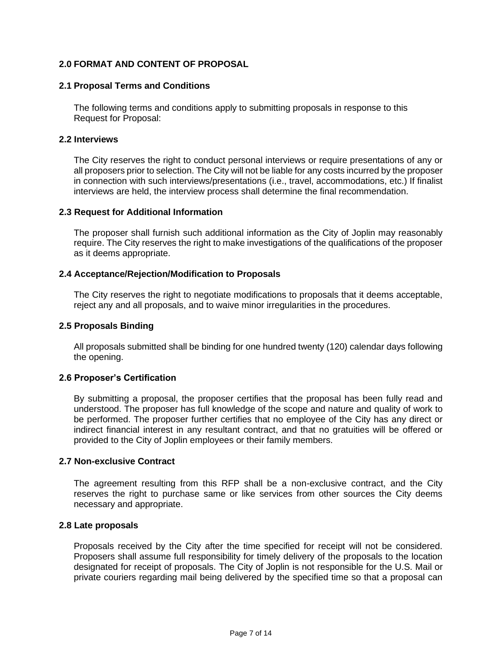# **2.0 FORMAT AND CONTENT OF PROPOSAL**

#### **2.1 Proposal Terms and Conditions**

The following terms and conditions apply to submitting proposals in response to this Request for Proposal:

#### **2.2 Interviews**

The City reserves the right to conduct personal interviews or require presentations of any or all proposers prior to selection. The City will not be liable for any costs incurred by the proposer in connection with such interviews/presentations (i.e., travel, accommodations, etc.) If finalist interviews are held, the interview process shall determine the final recommendation.

#### **2.3 Request for Additional Information**

The proposer shall furnish such additional information as the City of Joplin may reasonably require. The City reserves the right to make investigations of the qualifications of the proposer as it deems appropriate.

### **2.4 Acceptance/Rejection/Modification to Proposals**

The City reserves the right to negotiate modifications to proposals that it deems acceptable, reject any and all proposals, and to waive minor irregularities in the procedures.

#### **2.5 Proposals Binding**

All proposals submitted shall be binding for one hundred twenty (120) calendar days following the opening.

#### **2.6 Proposer's Certification**

By submitting a proposal, the proposer certifies that the proposal has been fully read and understood. The proposer has full knowledge of the scope and nature and quality of work to be performed. The proposer further certifies that no employee of the City has any direct or indirect financial interest in any resultant contract, and that no gratuities will be offered or provided to the City of Joplin employees or their family members.

#### **2.7 Non-exclusive Contract**

The agreement resulting from this RFP shall be a non-exclusive contract, and the City reserves the right to purchase same or like services from other sources the City deems necessary and appropriate.

#### **2.8 Late proposals**

Proposals received by the City after the time specified for receipt will not be considered. Proposers shall assume full responsibility for timely delivery of the proposals to the location designated for receipt of proposals. The City of Joplin is not responsible for the U.S. Mail or private couriers regarding mail being delivered by the specified time so that a proposal can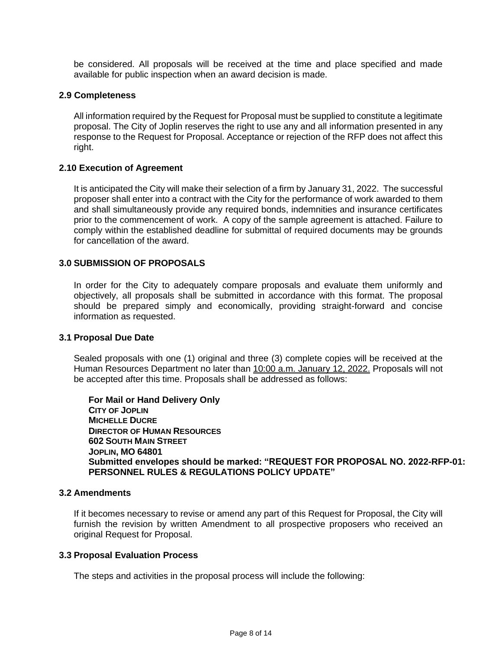be considered. All proposals will be received at the time and place specified and made available for public inspection when an award decision is made.

#### **2.9 Completeness**

All information required by the Request for Proposal must be supplied to constitute a legitimate proposal. The City of Joplin reserves the right to use any and all information presented in any response to the Request for Proposal. Acceptance or rejection of the RFP does not affect this right.

#### **2.10 Execution of Agreement**

It is anticipated the City will make their selection of a firm by January 31, 2022. The successful proposer shall enter into a contract with the City for the performance of work awarded to them and shall simultaneously provide any required bonds, indemnities and insurance certificates prior to the commencement of work. A copy of the sample agreement is attached. Failure to comply within the established deadline for submittal of required documents may be grounds for cancellation of the award.

# **3.0 SUBMISSION OF PROPOSALS**

In order for the City to adequately compare proposals and evaluate them uniformly and objectively, all proposals shall be submitted in accordance with this format. The proposal should be prepared simply and economically, providing straight-forward and concise information as requested.

#### **3.1 Proposal Due Date**

Sealed proposals with one (1) original and three (3) complete copies will be received at the Human Resources Department no later than 10:00 a.m. January 12, 2022. Proposals will not be accepted after this time. Proposals shall be addressed as follows:

**For Mail or Hand Delivery Only CITY OF JOPLIN MICHELLE DUCRE DIRECTOR OF HUMAN RESOURCES 602 SOUTH MAIN STREET JOPLIN, MO 64801 Submitted envelopes should be marked: "REQUEST FOR PROPOSAL NO. 2022-RFP-01: PERSONNEL RULES & REGULATIONS POLICY UPDATE"**

# **3.2 Amendments**

If it becomes necessary to revise or amend any part of this Request for Proposal, the City will furnish the revision by written Amendment to all prospective proposers who received an original Request for Proposal.

### **3.3 Proposal Evaluation Process**

The steps and activities in the proposal process will include the following: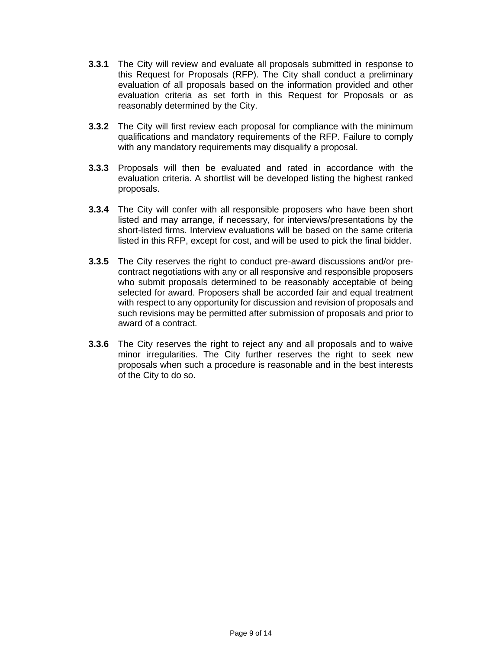- **3.3.1** The City will review and evaluate all proposals submitted in response to this Request for Proposals (RFP). The City shall conduct a preliminary evaluation of all proposals based on the information provided and other evaluation criteria as set forth in this Request for Proposals or as reasonably determined by the City.
- **3.3.2** The City will first review each proposal for compliance with the minimum qualifications and mandatory requirements of the RFP. Failure to comply with any mandatory requirements may disqualify a proposal.
- **3.3.3** Proposals will then be evaluated and rated in accordance with the evaluation criteria. A shortlist will be developed listing the highest ranked proposals.
- **3.3.4** The City will confer with all responsible proposers who have been short listed and may arrange, if necessary, for interviews/presentations by the short-listed firms. Interview evaluations will be based on the same criteria listed in this RFP, except for cost, and will be used to pick the final bidder.
- **3.3.5** The City reserves the right to conduct pre-award discussions and/or precontract negotiations with any or all responsive and responsible proposers who submit proposals determined to be reasonably acceptable of being selected for award. Proposers shall be accorded fair and equal treatment with respect to any opportunity for discussion and revision of proposals and such revisions may be permitted after submission of proposals and prior to award of a contract.
- **3.3.6** The City reserves the right to reject any and all proposals and to waive minor irregularities. The City further reserves the right to seek new proposals when such a procedure is reasonable and in the best interests of the City to do so.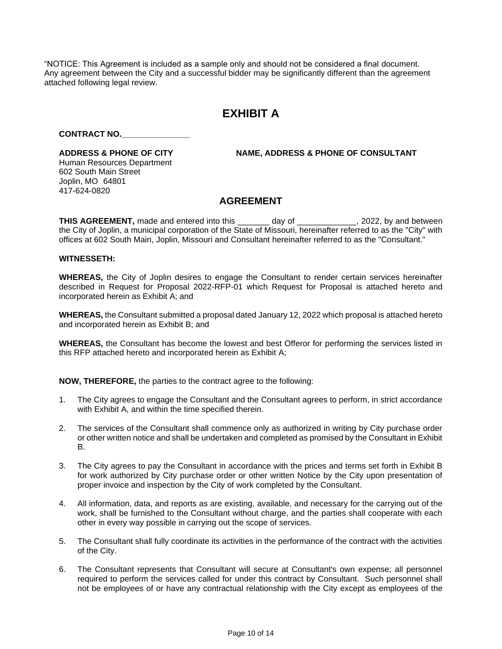"NOTICE: This Agreement is included as a sample only and should not be considered a final document. Any agreement between the City and a successful bidder may be significantly different than the agreement attached following legal review.

# **EXHIBIT A**

#### **CONTRACT NO.\_\_\_\_\_\_\_\_\_\_\_\_\_\_\_**

Human Resources Department 602 South Main Street Joplin, MO 64801 417-624-0820

**ADDRESS & PHONE OF CITY NAME, ADDRESS & PHONE OF CONSULTANT**

# **AGREEMENT**

**THIS AGREEMENT,** made and entered into this \_\_\_\_\_\_\_ day of \_\_\_\_\_\_\_\_\_\_\_\_\_, 2022, by and between the City of Joplin, a municipal corporation of the State of Missouri, hereinafter referred to as the "City" with offices at 602 South Main, Joplin, Missouri and Consultant hereinafter referred to as the "Consultant."

#### **WITNESSETH:**

**WHEREAS,** the City of Joplin desires to engage the Consultant to render certain services hereinafter described in Request for Proposal 2022-RFP-01 which Request for Proposal is attached hereto and incorporated herein as Exhibit A; and

**WHEREAS,** the Consultant submitted a proposal dated January 12, 2022 which proposal is attached hereto and incorporated herein as Exhibit B; and

**WHEREAS,** the Consultant has become the lowest and best Offeror for performing the services listed in this RFP attached hereto and incorporated herein as Exhibit A;

**NOW, THEREFORE,** the parties to the contract agree to the following:

- 1. The City agrees to engage the Consultant and the Consultant agrees to perform, in strict accordance with Exhibit A, and within the time specified therein.
- 2. The services of the Consultant shall commence only as authorized in writing by City purchase order or other written notice and shall be undertaken and completed as promised by the Consultant in Exhibit B.
- 3. The City agrees to pay the Consultant in accordance with the prices and terms set forth in Exhibit B for work authorized by City purchase order or other written Notice by the City upon presentation of proper invoice and inspection by the City of work completed by the Consultant.
- 4. All information, data, and reports as are existing, available, and necessary for the carrying out of the work, shall be furnished to the Consultant without charge, and the parties shall cooperate with each other in every way possible in carrying out the scope of services*.*
- 5. The Consultant shall fully coordinate its activities in the performance of the contract with the activities of the City.
- 6. The Consultant represents that Consultant will secure at Consultant's own expense; all personnel required to perform the services called for under this contract by Consultant. Such personnel shall not be employees of or have any contractual relationship with the City except as employees of the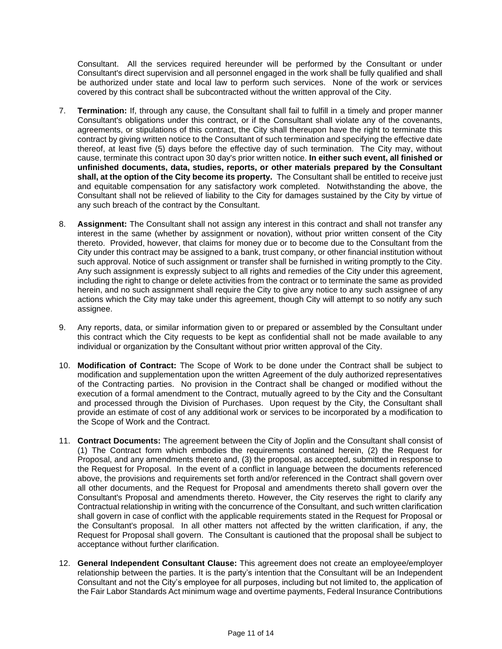Consultant. All the services required hereunder will be performed by the Consultant or under Consultant's direct supervision and all personnel engaged in the work shall be fully qualified and shall be authorized under state and local law to perform such services. None of the work or services covered by this contract shall be subcontracted without the written approval of the City.

- 7. **Termination:** If, through any cause, the Consultant shall fail to fulfill in a timely and proper manner Consultant's obligations under this contract, or if the Consultant shall violate any of the covenants, agreements, or stipulations of this contract, the City shall thereupon have the right to terminate this contract by giving written notice to the Consultant of such termination and specifying the effective date thereof, at least five (5) days before the effective day of such termination. The City may, without cause, terminate this contract upon 30 day's prior written notice. **In either such event, all finished or unfinished documents, data, studies, reports, or other materials prepared by the Consultant shall, at the option of the City become its property.** The Consultant shall be entitled to receive just and equitable compensation for any satisfactory work completed. Notwithstanding the above, the Consultant shall not be relieved of liability to the City for damages sustained by the City by virtue of any such breach of the contract by the Consultant.
- 8. **Assignment:** The Consultant shall not assign any interest in this contract and shall not transfer any interest in the same (whether by assignment or novation), without prior written consent of the City thereto. Provided, however, that claims for money due or to become due to the Consultant from the City under this contract may be assigned to a bank, trust company, or other financial institution without such approval. Notice of such assignment or transfer shall be furnished in writing promptly to the City. Any such assignment is expressly subject to all rights and remedies of the City under this agreement, including the right to change or delete activities from the contract or to terminate the same as provided herein, and no such assignment shall require the City to give any notice to any such assignee of any actions which the City may take under this agreement, though City will attempt to so notify any such assignee.
- 9. Any reports, data, or similar information given to or prepared or assembled by the Consultant under this contract which the City requests to be kept as confidential shall not be made available to any individual or organization by the Consultant without prior written approval of the City.
- 10. **Modification of Contract:** The Scope of Work to be done under the Contract shall be subject to modification and supplementation upon the written Agreement of the duly authorized representatives of the Contracting parties. No provision in the Contract shall be changed or modified without the execution of a formal amendment to the Contract, mutually agreed to by the City and the Consultant and processed through the Division of Purchases. Upon request by the City, the Consultant shall provide an estimate of cost of any additional work or services to be incorporated by a modification to the Scope of Work and the Contract.
- 11. **Contract Documents:** The agreement between the City of Joplin and the Consultant shall consist of (1) The Contract form which embodies the requirements contained herein, (2) the Request for Proposal, and any amendments thereto and, (3) the proposal, as accepted, submitted in response to the Request for Proposal. In the event of a conflict in language between the documents referenced above, the provisions and requirements set forth and/or referenced in the Contract shall govern over all other documents, and the Request for Proposal and amendments thereto shall govern over the Consultant's Proposal and amendments thereto. However, the City reserves the right to clarify any Contractual relationship in writing with the concurrence of the Consultant, and such written clarification shall govern in case of conflict with the applicable requirements stated in the Request for Proposal or the Consultant's proposal. In all other matters not affected by the written clarification, if any, the Request for Proposal shall govern. The Consultant is cautioned that the proposal shall be subject to acceptance without further clarification.
- 12. **General Independent Consultant Clause:** This agreement does not create an employee/employer relationship between the parties. It is the party's intention that the Consultant will be an Independent Consultant and not the City's employee for all purposes, including but not limited to, the application of the Fair Labor Standards Act minimum wage and overtime payments, Federal Insurance Contributions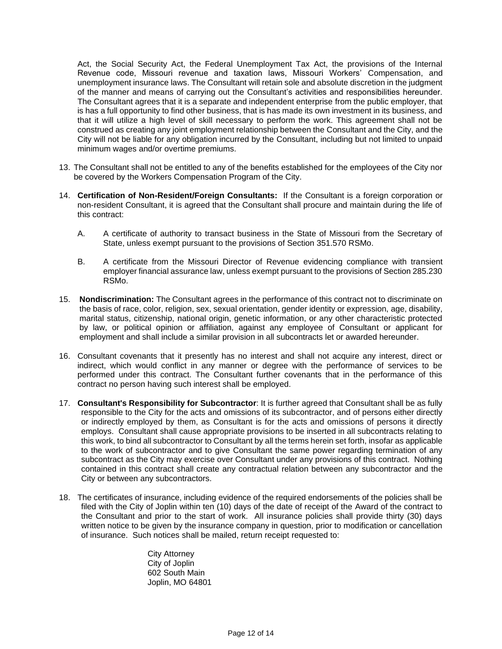Act, the Social Security Act, the Federal Unemployment Tax Act, the provisions of the Internal Revenue code, Missouri revenue and taxation laws, Missouri Workers' Compensation, and unemployment insurance laws. The Consultant will retain sole and absolute discretion in the judgment of the manner and means of carrying out the Consultant's activities and responsibilities hereunder. The Consultant agrees that it is a separate and independent enterprise from the public employer, that is has a full opportunity to find other business, that is has made its own investment in its business, and that it will utilize a high level of skill necessary to perform the work. This agreement shall not be construed as creating any joint employment relationship between the Consultant and the City, and the City will not be liable for any obligation incurred by the Consultant, including but not limited to unpaid minimum wages and/or overtime premiums.

- 13. The Consultant shall not be entitled to any of the benefits established for the employees of the City nor be covered by the Workers Compensation Program of the City.
- 14. **Certification of Non-Resident/Foreign Consultants:** If the Consultant is a foreign corporation or non-resident Consultant, it is agreed that the Consultant shall procure and maintain during the life of this contract:
	- A. A certificate of authority to transact business in the State of Missouri from the Secretary of State, unless exempt pursuant to the provisions of Section 351.570 RSMo.
	- B. A certificate from the Missouri Director of Revenue evidencing compliance with transient employer financial assurance law, unless exempt pursuant to the provisions of Section 285.230 RSMo.
- 15. **Nondiscrimination:** The Consultant agrees in the performance of this contract not to discriminate on the basis of race, color, religion, sex, sexual orientation, gender identity or expression, age, disability, marital status, citizenship, national origin, genetic information, or any other characteristic protected by law, or political opinion or affiliation, against any employee of Consultant or applicant for employment and shall include a similar provision in all subcontracts let or awarded hereunder.
- 16. Consultant covenants that it presently has no interest and shall not acquire any interest, direct or indirect, which would conflict in any manner or degree with the performance of services to be performed under this contract. The Consultant further covenants that in the performance of this contract no person having such interest shall be employed.
- 17. **Consultant's Responsibility for Subcontractor**: It is further agreed that Consultant shall be as fully responsible to the City for the acts and omissions of its subcontractor, and of persons either directly or indirectly employed by them, as Consultant is for the acts and omissions of persons it directly employs. Consultant shall cause appropriate provisions to be inserted in all subcontracts relating to this work, to bind all subcontractor to Consultant by all the terms herein set forth, insofar as applicable to the work of subcontractor and to give Consultant the same power regarding termination of any subcontract as the City may exercise over Consultant under any provisions of this contract. Nothing contained in this contract shall create any contractual relation between any subcontractor and the City or between any subcontractors.
- 18. The certificates of insurance, including evidence of the required endorsements of the policies shall be filed with the City of Joplin within ten (10) days of the date of receipt of the Award of the contract to the Consultant and prior to the start of work. All insurance policies shall provide thirty (30) days written notice to be given by the insurance company in question, prior to modification or cancellation of insurance. Such notices shall be mailed, return receipt requested to:

City Attorney City of Joplin 602 South Main Joplin, MO 64801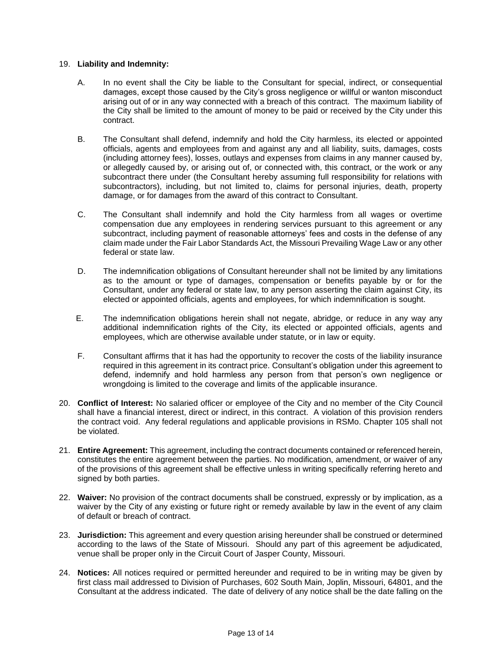#### 19. **Liability and Indemnity:**

- A. In no event shall the City be liable to the Consultant for special, indirect, or consequential damages, except those caused by the City's gross negligence or willful or wanton misconduct arising out of or in any way connected with a breach of this contract. The maximum liability of the City shall be limited to the amount of money to be paid or received by the City under this contract.
- B. The Consultant shall defend, indemnify and hold the City harmless, its elected or appointed officials, agents and employees from and against any and all liability, suits, damages, costs (including attorney fees), losses, outlays and expenses from claims in any manner caused by, or allegedly caused by, or arising out of, or connected with, this contract, or the work or any subcontract there under (the Consultant hereby assuming full responsibility for relations with subcontractors), including, but not limited to, claims for personal injuries, death, property damage, or for damages from the award of this contract to Consultant.
- C. The Consultant shall indemnify and hold the City harmless from all wages or overtime compensation due any employees in rendering services pursuant to this agreement or any subcontract, including payment of reasonable attorneys' fees and costs in the defense of any claim made under the Fair Labor Standards Act, the Missouri Prevailing Wage Law or any other federal or state law.
- D. The indemnification obligations of Consultant hereunder shall not be limited by any limitations as to the amount or type of damages, compensation or benefits payable by or for the Consultant, under any federal or state law, to any person asserting the claim against City, its elected or appointed officials, agents and employees, for which indemnification is sought.
- E. The indemnification obligations herein shall not negate, abridge, or reduce in any way any additional indemnification rights of the City, its elected or appointed officials, agents and employees, which are otherwise available under statute, or in law or equity.
- F. Consultant affirms that it has had the opportunity to recover the costs of the liability insurance required in this agreement in its contract price. Consultant's obligation under this agreement to defend, indemnify and hold harmless any person from that person's own negligence or wrongdoing is limited to the coverage and limits of the applicable insurance.
- 20. **Conflict of Interest:** No salaried officer or employee of the City and no member of the City Council shall have a financial interest, direct or indirect, in this contract. A violation of this provision renders the contract void. Any federal regulations and applicable provisions in RSMo. Chapter 105 shall not be violated.
- 21. **Entire Agreement:** This agreement, including the contract documents contained or referenced herein, constitutes the entire agreement between the parties. No modification, amendment, or waiver of any of the provisions of this agreement shall be effective unless in writing specifically referring hereto and signed by both parties.
- 22. **Waiver:** No provision of the contract documents shall be construed, expressly or by implication, as a waiver by the City of any existing or future right or remedy available by law in the event of any claim of default or breach of contract.
- 23. **Jurisdiction:** This agreement and every question arising hereunder shall be construed or determined according to the laws of the State of Missouri. Should any part of this agreement be adjudicated, venue shall be proper only in the Circuit Court of Jasper County, Missouri.
- 24. **Notices:** All notices required or permitted hereunder and required to be in writing may be given by first class mail addressed to Division of Purchases, 602 South Main, Joplin, Missouri, 64801, and the Consultant at the address indicated. The date of delivery of any notice shall be the date falling on the